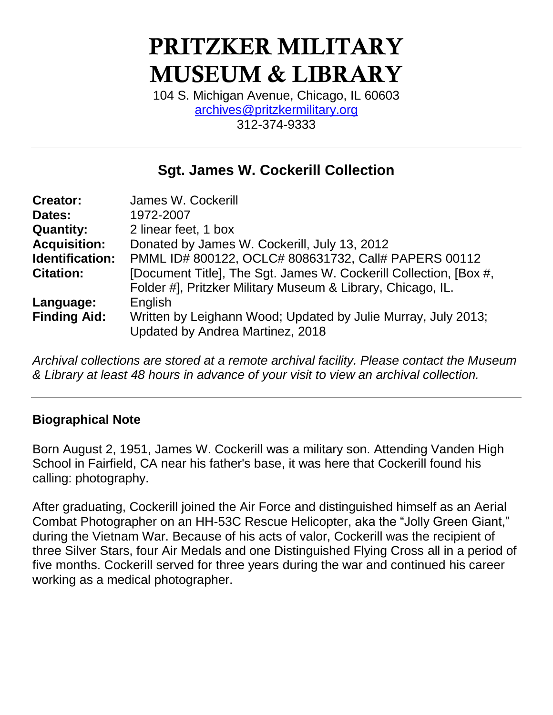# **PRITZKER MILITARY MUSEUM & LIBRARY**

104 S. Michigan Avenue, Chicago, IL 60603 [archives@pritzkermilitary.org](mailto:archives@pritzkermilitary.org) 312-374-9333

## **Sgt. James W. Cockerill Collection**

| <b>Creator:</b>        | James W. Cockerill                                                |
|------------------------|-------------------------------------------------------------------|
| Dates:                 | 1972-2007                                                         |
| <b>Quantity:</b>       | 2 linear feet, 1 box                                              |
| <b>Acquisition:</b>    | Donated by James W. Cockerill, July 13, 2012                      |
| <b>Identification:</b> | PMML ID# 800122, OCLC# 808631732, Call# PAPERS 00112              |
| <b>Citation:</b>       | [Document Title], The Sgt. James W. Cockerill Collection, [Box #, |
|                        | Folder #], Pritzker Military Museum & Library, Chicago, IL.       |
| Language:              | English                                                           |
| <b>Finding Aid:</b>    | Written by Leighann Wood; Updated by Julie Murray, July 2013;     |
|                        | Updated by Andrea Martinez, 2018                                  |

*Archival collections are stored at a remote archival facility. Please contact the Museum & Library at least 48 hours in advance of your visit to view an archival collection.*

## **Biographical Note**

Born August 2, 1951, James W. Cockerill was a military son. Attending Vanden High School in Fairfield, CA near his father's base, it was here that Cockerill found his calling: photography.

After graduating, Cockerill joined the Air Force and distinguished himself as an Aerial Combat Photographer on an HH-53C Rescue Helicopter, aka the "Jolly Green Giant," during the Vietnam War. Because of his acts of valor, Cockerill was the recipient of three Silver Stars, four Air Medals and one Distinguished Flying Cross all in a period of five months. Cockerill served for three years during the war and continued his career working as a medical photographer.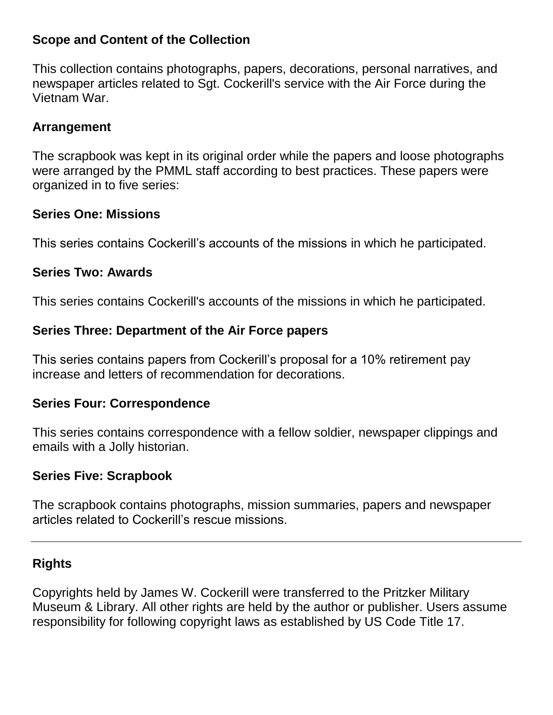#### **Scope and Content of the Collection**

This collection contains photographs, papers, decorations, personal narratives, and newspaper articles related to Sgt. Cockerill's service with the Air Force during the Vietnam War.

#### **Arrangement**

The scrapbook was kept in its original order while the papers and loose photographs were arranged by the PMML staff according to best practices. These papers were organized in to five series:

#### **Series One: Missions**

This series contains Cockerill's accounts of the missions in which he participated.

#### **Series Two: Awards**

This series contains Cockerill's accounts of the missions in which he participated.

## **Series Three: Department of the Air Force papers**

This series contains papers from Cockerill's proposal for a 10% retirement pay increase and letters of recommendation for decorations.

## **Series Four: Correspondence**

This series contains correspondence with a fellow soldier, newspaper clippings and emails with a Jolly historian.

## **Series Five: Scrapbook**

The scrapbook contains photographs, mission summaries, papers and newspaper articles related to Cockerill's rescue missions.

## **Rights**

Copyrights held by James W. Cockerill were transferred to the Pritzker Military Museum & Library. All other rights are held by the author or publisher. Users assume responsibility for following copyright laws as established by US Code Title 17.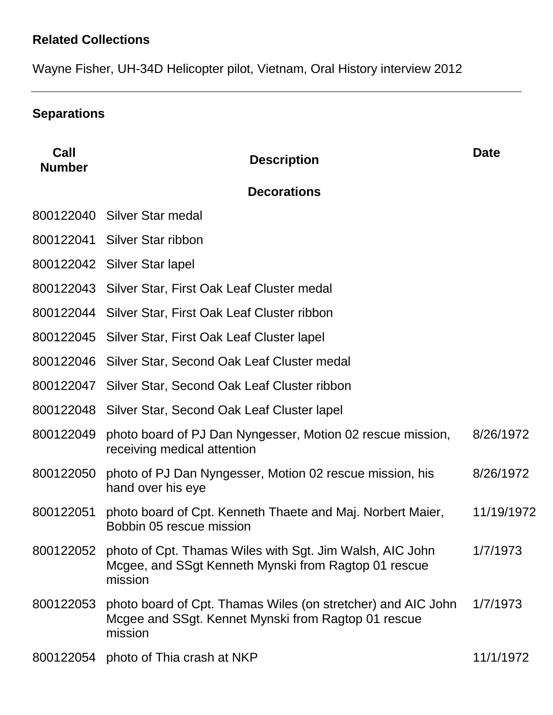# **Related Collections**

Wayne Fisher, UH-34D Helicopter pilot, Vietnam, Oral History interview 2012

# **Separations**

| Call<br><b>Number</b> | <b>Description</b>                                                                                                                       | <b>Date</b> |
|-----------------------|------------------------------------------------------------------------------------------------------------------------------------------|-------------|
|                       | <b>Decorations</b>                                                                                                                       |             |
|                       | 800122040 Silver Star medal                                                                                                              |             |
|                       | 800122041 Silver Star ribbon                                                                                                             |             |
|                       | 800122042 Silver Star lapel                                                                                                              |             |
|                       | 800122043 Silver Star, First Oak Leaf Cluster medal                                                                                      |             |
|                       | 800122044 Silver Star, First Oak Leaf Cluster ribbon                                                                                     |             |
|                       | 800122045 Silver Star, First Oak Leaf Cluster lapel                                                                                      |             |
|                       | 800122046 Silver Star, Second Oak Leaf Cluster medal                                                                                     |             |
|                       | 800122047 Silver Star, Second Oak Leaf Cluster ribbon                                                                                    |             |
|                       | 800122048 Silver Star, Second Oak Leaf Cluster lapel                                                                                     |             |
| 800122049             | photo board of PJ Dan Nyngesser, Motion 02 rescue mission,<br>receiving medical attention                                                | 8/26/1972   |
| 800122050             | photo of PJ Dan Nyngesser, Motion 02 rescue mission, his<br>hand over his eye                                                            | 8/26/1972   |
| 800122051             | photo board of Cpt. Kenneth Thaete and Maj. Norbert Maier,<br>Bobbin 05 rescue mission                                                   | 11/19/1972  |
|                       | 800122052 photo of Cpt. Thamas Wiles with Sgt. Jim Walsh, AIC John<br>Mcgee, and SSgt Kenneth Mynski from Ragtop 01 rescue<br>mission    | 1/7/1973    |
|                       | 800122053 photo board of Cpt. Thamas Wiles (on stretcher) and AIC John<br>Mcgee and SSgt. Kennet Mynski from Ragtop 01 rescue<br>mission | 1/7/1973    |
|                       | 800122054 photo of Thia crash at NKP                                                                                                     | 11/1/1972   |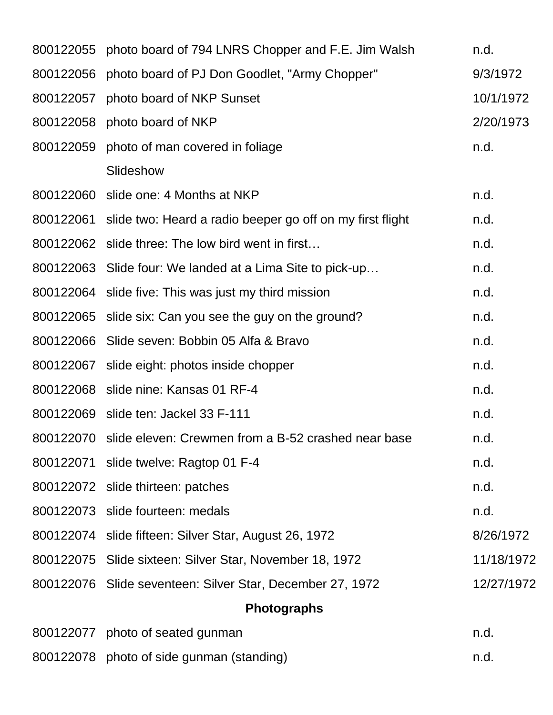| 800122055 photo board of 794 LNRS Chopper and F.E. Jim Walsh        | n.d.       |
|---------------------------------------------------------------------|------------|
| 800122056 photo board of PJ Don Goodlet, "Army Chopper"             | 9/3/1972   |
| 800122057 photo board of NKP Sunset                                 | 10/1/1972  |
| 800122058 photo board of NKP                                        | 2/20/1973  |
| 800122059 photo of man covered in foliage                           | n.d.       |
| Slideshow                                                           |            |
| 800122060 slide one: 4 Months at NKP                                | n.d.       |
| 800122061 slide two: Heard a radio beeper go off on my first flight | n.d.       |
| 800122062 slide three: The low bird went in first                   | n.d.       |
| 800122063 Slide four: We landed at a Lima Site to pick-up           | n.d.       |
| 800122064 slide five: This was just my third mission                | n.d.       |
| 800122065 slide six: Can you see the guy on the ground?             | n.d.       |
| 800122066 Slide seven: Bobbin 05 Alfa & Bravo                       | n.d.       |
| 800122067 slide eight: photos inside chopper                        | n.d.       |
| 800122068 slide nine: Kansas 01 RF-4                                | n.d.       |
| 800122069 slide ten: Jackel 33 F-111                                | n.d.       |
| 800122070 slide eleven: Crewmen from a B-52 crashed near base       | n.d.       |
| 800122071 slide twelve: Ragtop 01 F-4                               | n.d.       |
| 800122072 slide thirteen: patches                                   | n.d.       |
| 800122073 slide fourteen: medals                                    | n.d.       |
| 800122074 slide fifteen: Silver Star, August 26, 1972               | 8/26/1972  |
| 800122075 Slide sixteen: Silver Star, November 18, 1972             | 11/18/1972 |
| 800122076 Slide seventeen: Silver Star, December 27, 1972           | 12/27/1972 |
| <b>Photographs</b>                                                  |            |
| 800122077 photo of seated gunman                                    | n.d.       |

| 800122078 photo of side gunman (standing) | n.d. |  |
|-------------------------------------------|------|--|
|                                           |      |  |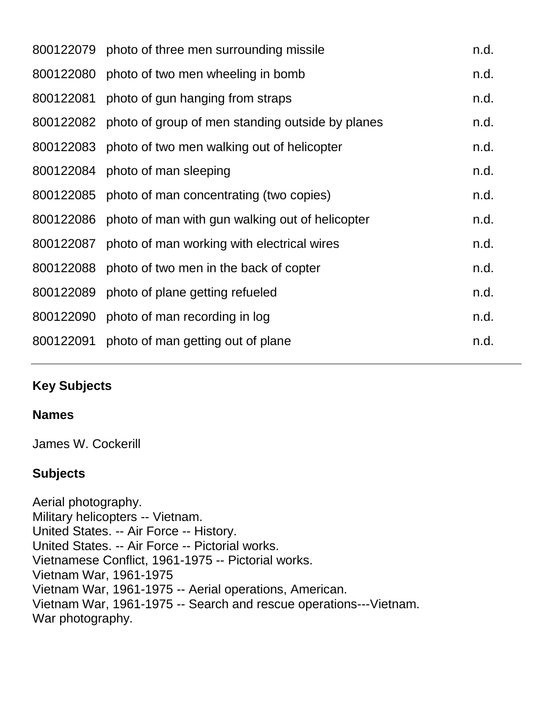| 800122079 photo of three men surrounding missile           | n.d. |
|------------------------------------------------------------|------|
| 800122080 photo of two men wheeling in bomb                | n.d. |
| 800122081 photo of gun hanging from straps                 | n.d. |
| 800122082 photo of group of men standing outside by planes | n.d. |
| 800122083 photo of two men walking out of helicopter       | n.d. |
| 800122084 photo of man sleeping                            | n.d. |
| 800122085 photo of man concentrating (two copies)          | n.d. |
| 800122086 photo of man with gun walking out of helicopter  | n.d. |
| 800122087 photo of man working with electrical wires       | n.d. |
| 800122088 photo of two men in the back of copter           | n.d. |
| 800122089 photo of plane getting refueled                  | n.d. |
| 800122090 photo of man recording in log                    | n.d. |
| 800122091 photo of man getting out of plane                | n.d. |
|                                                            |      |

## **Key Subjects**

#### **Names**

James W. Cockerill

## **Subjects**

Aerial photography. Military helicopters -- Vietnam. United States. -- Air Force -- History. United States. -- Air Force -- Pictorial works. Vietnamese Conflict, 1961-1975 -- Pictorial works. Vietnam War, 1961-1975 Vietnam War, 1961-1975 -- Aerial operations, American. Vietnam War, 1961-1975 -- Search and rescue operations---Vietnam. War photography.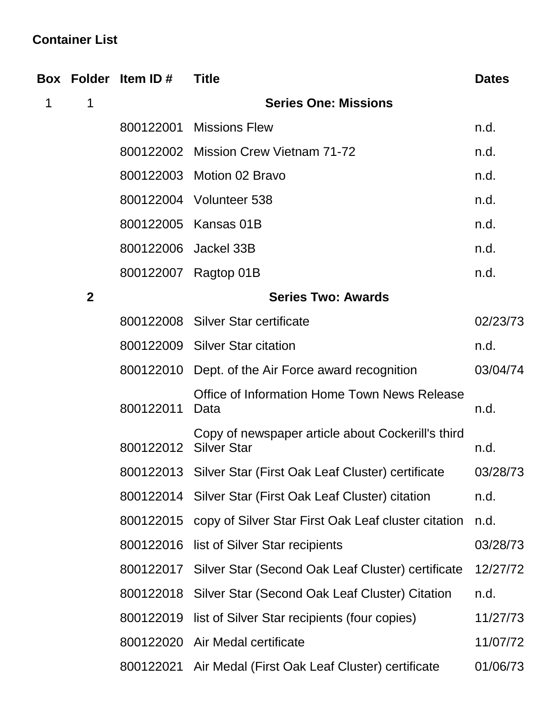# **Container List**

|   |                  | Box Folder Item ID#   | <b>Title</b>                                                  | <b>Dates</b> |
|---|------------------|-----------------------|---------------------------------------------------------------|--------------|
| 1 | 1                |                       | <b>Series One: Missions</b>                                   |              |
|   |                  | 800122001             | <b>Missions Flew</b>                                          | n.d.         |
|   |                  |                       | 800122002 Mission Crew Vietnam 71-72                          | n.d.         |
|   |                  |                       | 800122003 Motion 02 Bravo                                     | n.d.         |
|   |                  |                       | 800122004 Volunteer 538                                       | n.d.         |
|   |                  |                       | 800122005 Kansas 01B                                          | n.d.         |
|   |                  | 800122006 Jackel 33B  |                                                               | n.d.         |
|   |                  |                       | 800122007 Ragtop 01B                                          | n.d.         |
|   | $\boldsymbol{2}$ |                       | <b>Series Two: Awards</b>                                     |              |
|   |                  |                       | 800122008 Silver Star certificate                             | 02/23/73     |
|   |                  |                       | 800122009 Silver Star citation                                | n.d.         |
|   |                  |                       | 800122010 Dept. of the Air Force award recognition            | 03/04/74     |
|   |                  | 800122011             | Office of Information Home Town News Release<br>Data          | n.d.         |
|   |                  | 800122012 Silver Star | Copy of newspaper article about Cockerill's third             | n.d.         |
|   |                  |                       | 800122013 Silver Star (First Oak Leaf Cluster) certificate    | 03/28/73     |
|   |                  |                       | 800122014 Silver Star (First Oak Leaf Cluster) citation       | n.d.         |
|   |                  |                       | 800122015 copy of Silver Star First Oak Leaf cluster citation | n.d.         |
|   |                  |                       | 800122016 list of Silver Star recipients                      | 03/28/73     |
|   |                  |                       | 800122017 Silver Star (Second Oak Leaf Cluster) certificate   | 12/27/72     |
|   |                  |                       | 800122018 Silver Star (Second Oak Leaf Cluster) Citation      | n.d.         |
|   |                  | 800122019             | list of Silver Star recipients (four copies)                  | 11/27/73     |
|   |                  |                       | 800122020 Air Medal certificate                               | 11/07/72     |
|   |                  |                       | 800122021 Air Medal (First Oak Leaf Cluster) certificate      | 01/06/73     |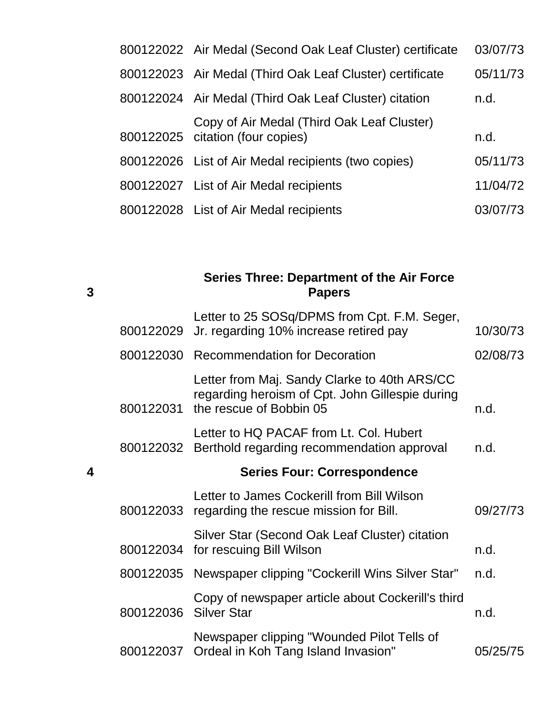| 800122022 Air Medal (Second Oak Leaf Cluster) certificate                      | 03/07/73 |
|--------------------------------------------------------------------------------|----------|
| 800122023 Air Medal (Third Oak Leaf Cluster) certificate                       | 05/11/73 |
| 800122024 Air Medal (Third Oak Leaf Cluster) citation                          | n.d.     |
| Copy of Air Medal (Third Oak Leaf Cluster)<br>800122025 citation (four copies) | n.d.     |
| 800122026 List of Air Medal recipients (two copies)                            | 05/11/73 |
| 800122027 List of Air Medal recipients                                         | 11/04/72 |
| 800122028 List of Air Medal recipients                                         | 03/07/73 |

**Series Three: Department of the Air Force Papers**

**3**

|   | 800122029 | Letter to 25 SOSq/DPMS from Cpt. F.M. Seger,<br>Jr. regarding 10% increase retired pay                                     | 10/30/73 |
|---|-----------|----------------------------------------------------------------------------------------------------------------------------|----------|
|   |           | 800122030 Recommendation for Decoration                                                                                    | 02/08/73 |
|   | 800122031 | Letter from Maj. Sandy Clarke to 40th ARS/CC<br>regarding heroism of Cpt. John Gillespie during<br>the rescue of Bobbin 05 | n.d.     |
|   |           | Letter to HQ PACAF from Lt. Col. Hubert<br>800122032 Berthold regarding recommendation approval                            | n.d.     |
| 4 |           | <b>Series Four: Correspondence</b>                                                                                         |          |
|   |           | Letter to James Cockerill from Bill Wilson<br>800122033 regarding the rescue mission for Bill.                             | 09/27/73 |
|   |           | Silver Star (Second Oak Leaf Cluster) citation<br>800122034 for rescuing Bill Wilson                                       | n.d.     |
|   | 800122035 | Newspaper clipping "Cockerill Wins Silver Star"                                                                            | n.d.     |
|   | 800122036 | Copy of newspaper article about Cockerill's third<br><b>Silver Star</b>                                                    | n.d.     |
|   |           | Newspaper clipping "Wounded Pilot Tells of<br>800122037 Ordeal in Koh Tang Island Invasion"                                | 05/25/75 |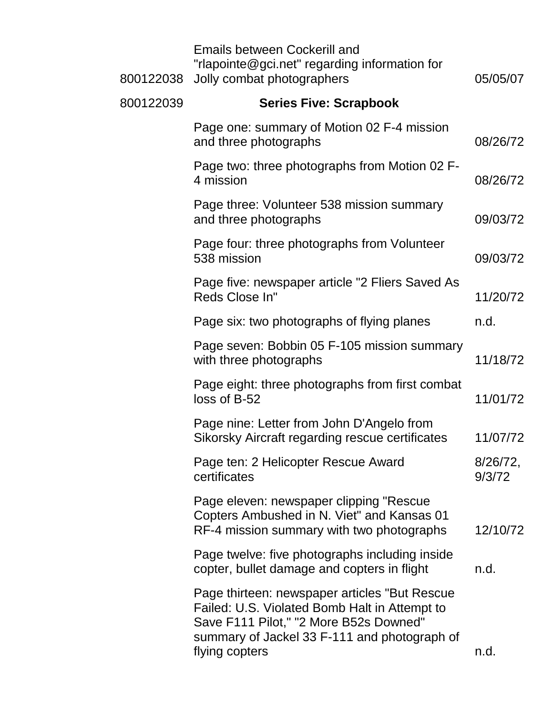| 800122038 | <b>Emails between Cockerill and</b><br>"rlapointe@gci.net" regarding information for<br>Jolly combat photographers                                                                                         | 05/05/07              |
|-----------|------------------------------------------------------------------------------------------------------------------------------------------------------------------------------------------------------------|-----------------------|
| 800122039 | <b>Series Five: Scrapbook</b>                                                                                                                                                                              |                       |
|           | Page one: summary of Motion 02 F-4 mission<br>and three photographs                                                                                                                                        | 08/26/72              |
|           | Page two: three photographs from Motion 02 F-<br>4 mission                                                                                                                                                 | 08/26/72              |
|           | Page three: Volunteer 538 mission summary<br>and three photographs                                                                                                                                         | 09/03/72              |
|           | Page four: three photographs from Volunteer<br>538 mission                                                                                                                                                 | 09/03/72              |
|           | Page five: newspaper article "2 Fliers Saved As<br>Reds Close In"                                                                                                                                          | 11/20/72              |
|           | Page six: two photographs of flying planes                                                                                                                                                                 | n.d.                  |
|           | Page seven: Bobbin 05 F-105 mission summary<br>with three photographs                                                                                                                                      | 11/18/72              |
|           | Page eight: three photographs from first combat<br>loss of B-52                                                                                                                                            | 11/01/72              |
|           | Page nine: Letter from John D'Angelo from<br>Sikorsky Aircraft regarding rescue certificates                                                                                                               | 11/07/72              |
|           | Page ten: 2 Helicopter Rescue Award<br>certificates                                                                                                                                                        | $8/26/72$ ,<br>9/3/72 |
|           | Page eleven: newspaper clipping "Rescue<br>Copters Ambushed in N. Viet" and Kansas 01<br>RF-4 mission summary with two photographs                                                                         | 12/10/72              |
|           | Page twelve: five photographs including inside<br>copter, bullet damage and copters in flight                                                                                                              | n.d.                  |
|           | Page thirteen: newspaper articles "But Rescue<br>Failed: U.S. Violated Bomb Halt in Attempt to<br>Save F111 Pilot," "2 More B52s Downed"<br>summary of Jackel 33 F-111 and photograph of<br>flying copters | n.d.                  |
|           |                                                                                                                                                                                                            |                       |